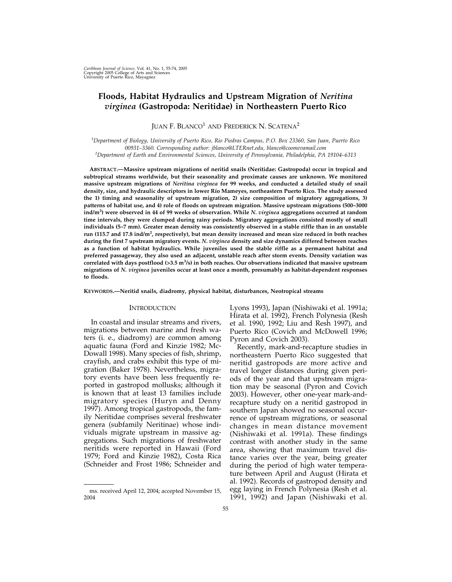# **Floods, Habitat Hydraulics and Upstream Migration of** *Neritina virginea* **(Gastropoda: Neritidae) in Northeastern Puerto Rico**

JUAN F. BLANCO<sup>1</sup> AND FREDERICK N. SCATENA<sup>2</sup>

*1 Department of Biology, University of Puerto Rico, Rio Piedras Campus, P.O. Box 23360, San Juan, Puerto Rico 00931–3360. Corresponding author: jblanco@LTERnet.edu, blanco@coomevamail.com 2 Department of Earth and Environmental Sciences, University of Pennsylvania, Philadelphia, PA 19104–6313*

**ABSTRACT.—Massive upstream migrations of neritid snails (Neritidae: Gastropoda) occur in tropical and subtropical streams worldwide, but their seasonality and proximate causes are unknown. We monitored massive upstream migrations of** *Neritina virginea* **for 99 weeks, and conducted a detailed study of snail density, size, and hydraulic descriptors in lower Río Mameyes, northeastern Puerto Rico. The study assessed the 1) timing and seasonality of upstream migration, 2) size composition of migratory aggregations, 3) patterns of habitat use, and 4) role of floods on upstream migration. Massive upstream migrations (500–3000 ind/m<sup>2</sup> ) were observed in 44 of 99 weeks of observation. While** *N. virginea* **aggregations occurred at random time intervals, they were clumped during rainy periods. Migratory aggregations consisted mostly of small individuals (5–7 mm). Greater mean density was consistently observed in a stable riffle than in an unstable** run (115.7 and 17.8 ind/m<sup>2</sup>, respectively), but mean density increased and mean size reduced in both reaches **during the first 7 upstream migratory events.** *N. virginea* **density and size dynamics differed between reaches as a function of habitat hydraulics. While juveniles used the stable riffle as a permanent habitat and preferred passageway, they also used an adjacent, unstable reach after storm events. Density variation was correlated with days postflood (>3.5 m<sup>3</sup> /s) in both reaches. Our observations indicated that massive upstream migrations of** *N. virginea* **juveniles occur at least once a month, presumably as habitat-dependent responses to floods.**

**KEYWORDS.—Neritid snails, diadromy, physical habitat, disturbances, Neotropical streams**

# **INTRODUCTION**

In coastal and insular streams and rivers, migrations between marine and fresh waters (i. e., diadromy) are common among aquatic fauna (Ford and Kinzie 1982; Mc-Dowall 1998). Many species of fish, shrimp, crayfish, and crabs exhibit this type of migration (Baker 1978). Nevertheless, migratory events have been less frequently reported in gastropod mollusks; although it is known that at least 13 families include migratory species (Huryn and Denny 1997). Among tropical gastropods, the family Neritidae comprises several freshwater genera (subfamily Neritinae) whose individuals migrate upstream in massive aggregations. Such migrations of freshwater neritids were reported in Hawaii (Ford 1979; Ford and Kinzie 1982), Costa Rica (Schneider and Frost 1986; Schneider and

Lyons 1993), Japan (Nishiwaki et al. 1991a; Hirata et al. 1992), French Polynesia (Resh et al. 1990, 1992; Liu and Resh 1997), and Puerto Rico (Covich and McDowell 1996; Pyron and Covich 2003).

Recently, mark-and-recapture studies in northeastern Puerto Rico suggested that neritid gastropods are more active and travel longer distances during given periods of the year and that upstream migration may be seasonal (Pyron and Covich 2003). However, other one-year mark-andrecapture study on a neritid gastropod in southern Japan showed no seasonal occurrence of upstream migrations, or seasonal changes in mean distance movement (Nishiwaki et al. 1991a). These findings contrast with another study in the same area, showing that maximum travel distance varies over the year, being greater during the period of high water temperature between April and August (Hirata et al. 1992). Records of gastropod density and egg laying in French Polynesia (Resh et al. ms. received April 12, 2004; accepted November 15, egg laying in French Polynesia (Kesh et al.<br>.04 1992) and Japan (Nishiwaki et al.

<sup>2004</sup>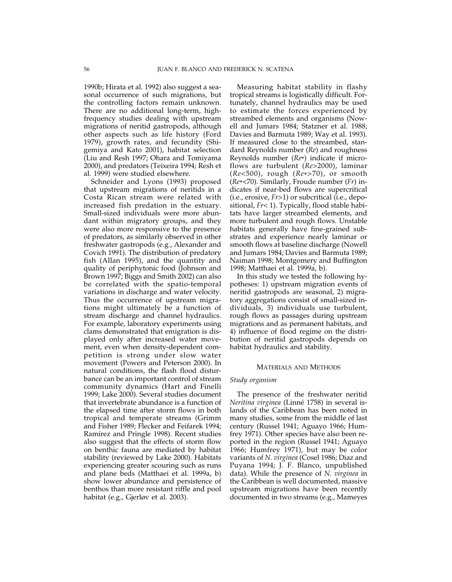1990b; Hirata et al. 1992) also suggest a seasonal occurrence of such migrations, but the controlling factors remain unknown. There are no additional long-term, highfrequency studies dealing with upstream migrations of neritid gastropods, although other aspects such as life history (Ford 1979), growth rates, and fecundity (Shigemiya and Kato 2001), habitat selection (Liu and Resh 1997; Ohara and Tomiyama 2000), and predators (Teixeira 1994; Resh et al. 1999) were studied elsewhere.

Schneider and Lyons (1993) proposed that upstream migrations of neritids in a Costa Rican stream were related with increased fish predation in the estuary. Small-sized individuals were more abundant within migratory groups, and they were also more responsive to the presence of predators, as similarly observed in other freshwater gastropods (e.g., Alexander and Covich 1991). The distribution of predatory fish (Allan 1995), and the quantity and quality of periphytonic food (Johnson and Brown 1997; Biggs and Smith 2002) can also be correlated with the spatio-temporal variations in discharge and water velocity. Thus the occurrence of upstream migrations might ultimately be a function of stream discharge and channel hydraulics. For example, laboratory experiments using clams demonstrated that emigration is displayed only after increased water movement, even when density-dependent competition is strong under slow water movement (Powers and Peterson 2000). In natural conditions, the flash flood disturbance can be an important control of stream community dynamics (Hart and Finelli 1999; Lake 2000). Several studies document that invertebrate abundance is a function of the elapsed time after storm flows in both tropical and temperate streams (Grimm and Fisher 1989; Flecker and Feifarek 1994; Ramírez and Pringle 1998). Recent studies also suggest that the effects of storm flow on benthic fauna are mediated by habitat stability (reviewed by Lake 2000). Habitats experiencing greater scouring such as runs and plane beds (Matthaei et al. 1999a, b) show lower abundance and persistence of benthos than more resistant riffle and pool habitat (e.g., Gjerløv et al. 2003).

Measuring habitat stability in flashy tropical streams is logistically difficult. Fortunately, channel hydraulics may be used to estimate the forces experienced by streambed elements and organisms (Nowell and Jumars 1984; Statzner et al. 1988; Davies and Barmuta 1989; Way et al. 1993). If measured close to the streambed, standard Reynolds number (*Re*) and roughness Reynolds number (*Re*\*) indicate if microflows are turbulent (*Re*>2000), laminar (*Re*<500), rough (*Re*\*>70), or smooth (*Re*\*<70). Similarly, Froude number (*Fr*) indicates if near-bed flows are supercritical (i.e., erosive, *Fr*>1) or subcritical (i.e., depositional, *Fr*< 1). Typically, flood stable habitats have larger streambed elements, and more turbulent and rough flows. Unstable habitats generally have fine-grained substrates and experience nearly laminar or smooth flows at baseline discharge (Nowell and Jumars 1984; Davies and Barmuta 1989; Naiman 1998; Montgomery and Buffington 1998; Matthaei et al. 1999a, b).

In this study we tested the following hypotheses: 1) upstream migration events of neritid gastropods are seasonal, 2) migratory aggregations consist of small-sized individuals, 3) individuals use turbulent, rough flows as passages during upstream migrations and as permanent habitats, and 4) influence of flood regime on the distribution of neritid gastropods depends on habitat hydraulics and stability.

### MATERIALS AND METHODS

#### *Study organism*

The presence of the freshwater neritid *Neritina virginea* (Linné 1758) in several islands of the Caribbean has been noted in many studies, some from the middle of last century (Russel 1941; Aguayo 1966; Humfrey 1971). Other species have also been reported in the region (Russel 1941; Aguayo 1966; Humfrey 1971), but may be color variants of *N. virginea* (Cosel 1986; Diaz and Puyana 1994; J. F. Blanco, unpublished data). While the presence of *N. virginea* in the Caribbean is well documented, massive upstream migrations have been recently documented in two streams (e.g., Mameyes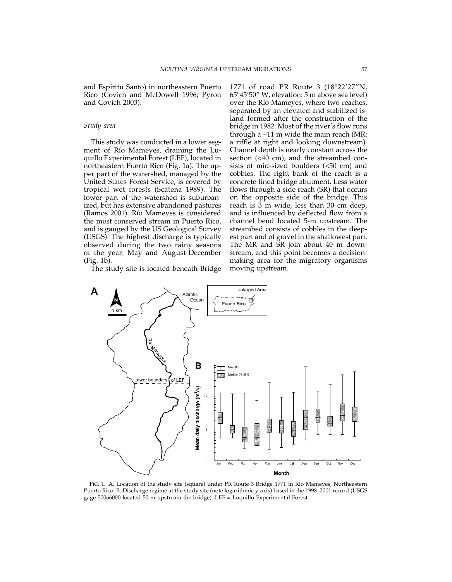and Espíritu Santo) in northeastern Puerto Rico (Covich and McDowell 1996; Pyron and Covich 2003).

## *Study area*

This study was conducted in a lower segment of Río Mameyes, draining the Luquillo Experimental Forest (LEF), located in northeastern Puerto Rico (Fig. 1a). The upper part of the watershed, managed by the United States Forest Service, is covered by tropical wet forests (Scatena 1989). The lower part of the watershed is suburbanized, but has extensive abandoned pastures (Ramos 2001). Río Mameyes is considered the most conserved stream in Puerto Rico, and is gauged by the US Geological Survey (USGS). The highest discharge is typically observed during the two rainy seasons of the year: May and August-December (Fig. 1b).

The study site is located beneath Bridge

1771 of road PR Route 3 (18°22'27"N, 65°45'50" W, elevation: 5 m above sea level) over the Río Mameyes, where two reaches, separated by an elevated and stabilized island formed after the construction of the bridge in 1982. Most of the river's flow runs through a ∼11 m wide the main reach (MR: a riffle at right and looking downstream). Channel depth is nearly constant across the section (<40 cm), and the streambed consists of mid-sized boulders (<50 cm) and cobbles. The right bank of the reach is a concrete-lined bridge abutment. Less water flows through a side reach (SR) that occurs on the opposite side of the bridge. This reach is 3 m wide, less than 30 cm deep, and is influenced by deflected flow from a channel bend located 5-m upstream. The streambed consists of cobbles in the deepest part and of gravel in the shallowest part. The MR and SR join about 40 m downstream, and this point becomes a decisionmaking area for the migratory organisms moving upstream.



FIG. 1. A. Location of the study site (square) under PR Route 3 Bridge 1771 in Río Mameyes, Northeastern Puerto Rico. B. Discharge regime at the study site (note logarithmic y-axis) based in the 1998–2001 record (USGS gage 50066000 located 50 m upstream the bridge). LEF = Luquillo Experimental Forest.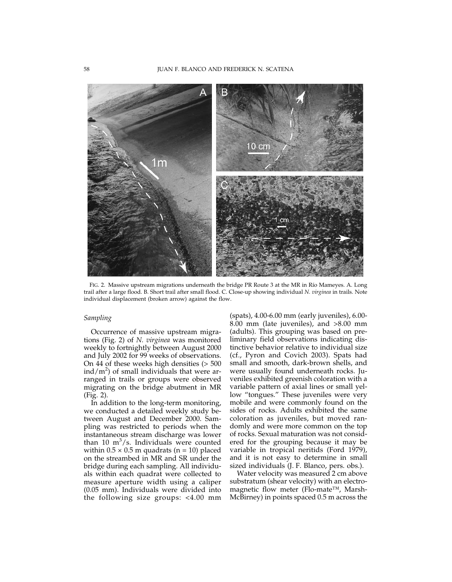

FIG. 2. Massive upstream migrations underneath the bridge PR Route 3 at the MR in Río Mameyes. A. Long trail after a large flood. B. Short trail after small flood. C. Close-up showing individual *N. virginea* in trails. Note individual displacement (broken arrow) against the flow.

# *Sampling*

Occurrence of massive upstream migrations (Fig. 2) of *N. virginea* was monitored weekly to fortnightly between August 2000 and July 2002 for 99 weeks of observations. On 44 of these weeks high densities (> 500  $\text{ind}/\text{m}^2$ ) of small individuals that were arranged in trails or groups were observed migrating on the bridge abutment in MR (Fig. 2).

In addition to the long-term monitoring, we conducted a detailed weekly study between August and December 2000. Sampling was restricted to periods when the instantaneous stream discharge was lower than 10  $m^3/s$ . Individuals were counted within  $0.5 \times 0.5$  m quadrats (n = 10) placed on the streambed in MR and SR under the bridge during each sampling. All individuals within each quadrat were collected to measure aperture width using a caliper (0.05 mm). Individuals were divided into the following size groups: <4.00 mm

(spats), 4.00-6.00 mm (early juveniles), 6.00- 8.00 mm (late juveniles), and >8.00 mm (adults). This grouping was based on preliminary field observations indicating distinctive behavior relative to individual size (cf., Pyron and Covich 2003). Spats had small and smooth, dark-brown shells, and were usually found underneath rocks. Juveniles exhibited greenish coloration with a variable pattern of axial lines or small yellow "tongues." These juveniles were very mobile and were commonly found on the sides of rocks. Adults exhibited the same coloration as juveniles, but moved randomly and were more common on the top of rocks. Sexual maturation was not considered for the grouping because it may be variable in tropical neritids (Ford 1979), and it is not easy to determine in small sized individuals (J. F. Blanco, pers. obs.).

Water velocity was measured 2 cm above substratum (shear velocity) with an electromagnetic flow meter (Flo-mate™, Marsh-McBirney) in points spaced 0.5 m across the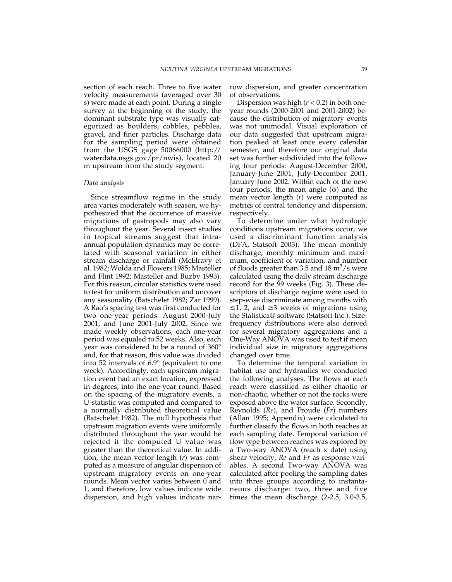section of each reach. Three to five water velocity measurements (averaged over 30 s) were made at each point. During a single survey at the beginning of the study, the dominant substrate type was visually categorized as boulders, cobbles, pebbles, gravel, and finer particles. Discharge data for the sampling period were obtained from the USGS gage 50066000 (http:// waterdata.usgs.gov/pr/nwis), located 20 m upstream from the study segment.

## *Data analysis*

Since streamflow regime in the study area varies moderately with season, we hypothesized that the occurrence of massive migrations of gastropods may also vary throughout the year. Several insect studies in tropical streams suggest that intraannual population dynamics may be correlated with seasonal variation in either stream discharge or rainfall (McElravy et al. 1982; Wolda and Flowers 1985; Masteller and Flint 1992; Masteller and Buzby 1993). For this reason, circular statistics were used to test for uniform distribution and uncover any seasonality (Batschelet 1982; Zar 1999). A Rao's spacing test was first conducted for two one-year periods: August 2000-July 2001, and June 2001-July 2002. Since we made weekly observations, each one-year period was equaled to 52 weeks. Also, each year was considered to be a round of 360° and, for that reason, this value was divided into 52 intervals of 6.9° (equivalent to one week). Accordingly, each upstream migration event had an exact location, expressed in degrees, into the one-year round. Based on the spacing of the migratory events, a U-statistic was computed and compared to a normally distributed theoretical value (Batschelet 1982). The null hypothesis that upstream migration events were uniformly distributed throughout the year would be rejected if the computed U value was greater than the theoretical value. In addition, the mean vector length (*r*) was computed as a measure of angular dispersion of upstream migratory events on one-year rounds. Mean vector varies between 0 and 1, and therefore, low values indicate wide dispersion, and high values indicate narrow dispersion, and greater concentration of observations.

Dispersion was high (*r* < 0.2) in both oneyear rounds (2000-2001 and 2001-2002) because the distribution of migratory events was not unimodal. Visual exploration of our data suggested that upstream migration peaked at least once every calendar semester, and therefore our original data set was further subdivided into the following four periods: August-December 2000, January-June 2001, July-December 2001, January-June 2002. Within each of the new four periods, the mean angle  $(\phi)$  and the mean vector length (*r*) were computed as metrics of central tendency and dispersion, respectively.

To determine under what hydrologic conditions upstream migrations occur, we used a discriminant function analysis (DFA, Statsoft 2003). The mean monthly discharge, monthly minimum and maximum, coefficient of variation, and number of floods greater than 3.5 and 18  $\text{m}^3/\text{s}$  were calculated using the daily stream discharge record for the 99 weeks (Fig. 3). These descriptors of discharge regime were used to step-wise discriminate among months with  $\leq$ 1, 2, and  $\geq$ 3 weeks of migrations using the Statistica® software (Statsoft Inc.). Sizefrequency distributions were also derived for several migratory aggregations and a One-Way ANOVA was used to test if mean individual size in migratory aggregations changed over time.

To determine the temporal variation in habitat use and hydraulics we conducted the following analyses. The flows at each reach were classified as either chaotic or non-chaotic, whether or not the rocks were exposed above the water surface. Secondly, Reynolds (*Re*), and Froude (*Fr*) numbers (Allan 1995; Appendix) were calculated to further classify the flows in both reaches at each sampling date. Temporal variation of flow type between reaches was explored by a Two-way ANOVA (reach x date) using shear velocity, *Re* and *Fr* as response variables. A second Two-way ANOVA was calculated after pooling the sampling dates into three groups according to instantaneous discharge: two, three and five times the mean discharge (2-2.5, 3.0-3.5,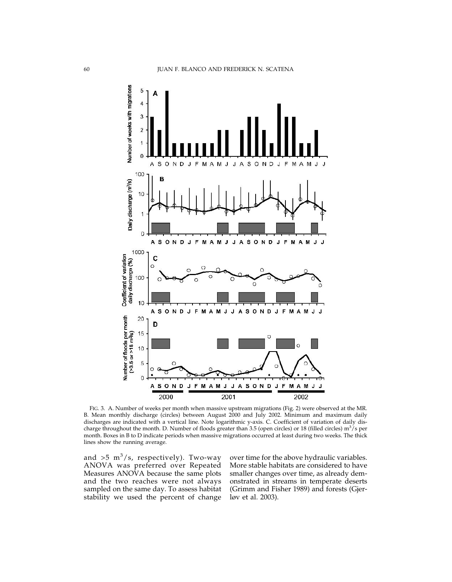

FIG. 3. A. Number of weeks per month when massive upstream migrations (Fig. 2) were observed at the MR. B. Mean monthly discharge (circles) between August 2000 and July 2002. Minimum and maximum daily discharges are indicated with a vertical line. Note logarithmic y-axis. C. Coefficient of variation of daily discharge throughout the month. D. Number of floods greater than 3.5 (open circles) or 18 (filled circles)  $m^3/s$  per month. Boxes in B to D indicate periods when massive migrations occurred at least during two weeks. The thick lines show the running average.

and  $>5$  m<sup>3</sup>/s, respectively). Two-way ANOVA was preferred over Repeated Measures ANOVA because the same plots and the two reaches were not always sampled on the same day. To assess habitat stability we used the percent of change

over time for the above hydraulic variables. More stable habitats are considered to have smaller changes over time, as already demonstrated in streams in temperate deserts (Grimm and Fisher 1989) and forests (Gjerløv et al. 2003).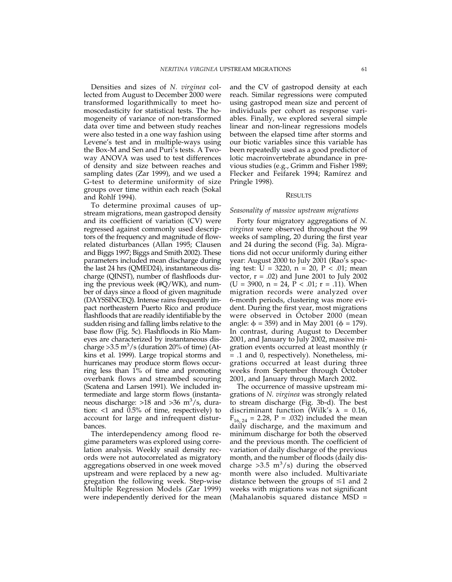Densities and sizes of *N. virginea* collected from August to December 2000 were transformed logarithmically to meet homoscedasticity for statistical tests. The homogeneity of variance of non-transformed data over time and between study reaches were also tested in a one way fashion using Levene's test and in multiple-ways using the Box-M and Sen and Puri's tests. A Twoway ANOVA was used to test differences of density and size between reaches and sampling dates (Zar 1999), and we used a G-test to determine uniformity of size groups over time within each reach (Sokal and Rohlf 1994).

To determine proximal causes of upstream migrations, mean gastropod density and its coefficient of variation (CV) were regressed against commonly used descriptors of the frequency and magnitude of flowrelated disturbances (Allan 1995; Clausen and Biggs 1997; Biggs and Smith 2002). These parameters included mean discharge during the last 24 hrs (QMED24), instantaneous discharge (QINST), number of flashfloods during the previous week (#Q/WK), and number of days since a flood of given magnitude (DAYSSINCEQ). Intense rains frequently impact northeastern Puerto Rico and produce flashfloods that are readily identifiable by the sudden rising and falling limbs relative to the base flow (Fig. 5c). Flashfloods in Río Mameyes are characterized by instantaneous discharge > 3.5 m<sup>3</sup>/s (duration 20% of time) (Atkins et al. 1999). Large tropical storms and hurricanes may produce storm flows occurring less than 1% of time and promoting overbank flows and streambed scouring (Scatena and Larsen 1991). We included intermediate and large storm flows (instantaneous discharge:  $>18$  and  $>36$  m<sup>3</sup>/s, duration: <1 and 0.5% of time, respectively) to account for large and infrequent disturbances.

The interdependency among flood regime parameters was explored using correlation analysis. Weekly snail density records were not autocorrelated as migratory aggregations observed in one week moved upstream and were replaced by a new aggregation the following week. Step-wise Multiple Regression Models (Zar 1999) were independently derived for the mean and the CV of gastropod density at each reach. Similar regressions were computed using gastropod mean size and percent of individuals per cohort as response variables. Finally, we explored several simple linear and non-linear regressions models between the elapsed time after storms and our biotic variables since this variable has been repeatedly used as a good predictor of lotic macroinvertebrate abundance in previous studies (e.g., Grimm and Fisher 1989; Flecker and Feifarek 1994; Ramírez and Pringle 1998).

#### RESULTS

#### *Seasonality of massive upstream migrations*

Forty four migratory aggregations of *N. virginea* were observed throughout the 99 weeks of sampling, 20 during the first year and 24 during the second (Fig. 3a). Migrations did not occur uniformly during either year: August 2000 to July 2001 (Rao's spacing test:  $U = 3220$ ,  $n = 20$ ,  $P < .01$ ; mean vector,  $r = .02$ ) and June 2001 to July 2002  $(U = 3900, n = 24, P < .01; r = .11)$ . When migration records were analyzed over 6-month periods, clustering was more evident. During the first year, most migrations were observed in October 2000 (mean angle:  $\phi = 359$ ) and in May 2001 ( $\phi = 179$ ). In contrast, during August to December 2001, and January to July 2002, massive migration events occurred at least monthly (r = .1 and 0, respectively). Nonetheless, migrations occurred at least during three weeks from September through October 2001, and January through March 2002.

The occurrence of massive upstream migrations of *N. virginea* was strongly related to stream discharge (Fig. 3b-d). The best discriminant function (Wilk's  $\lambda = 0.16$ ,  $F_{16, 24} = 2.28$ , P = .032) included the mean daily discharge, and the maximum and minimum discharge for both the observed and the previous month. The coefficient of variation of daily discharge of the previous month, and the number of floods (daily discharge  $>3.5 \text{ m}^3/\text{s}$ ) during the observed month were also included. Multivariate distance between the groups of  $\leq 1$  and 2 weeks with migrations was not significant (Mahalanobis squared distance MSD =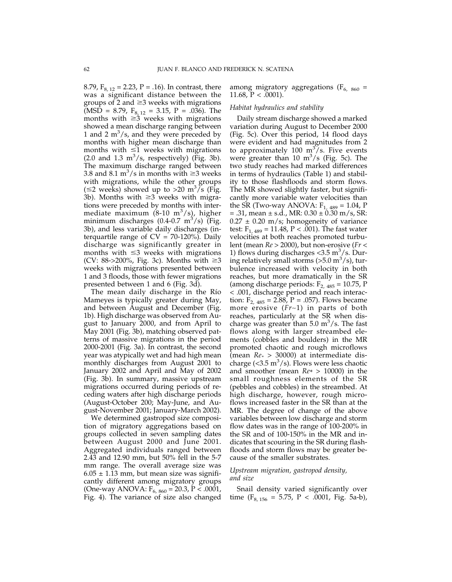8.79,  $F_{8, 12} = 2.23$ , P = .16). In contrast, there was a significant distance between the groups of 2 and  $\geq$ 3 weeks with migrations (MSD = 8.79,  $F_{8, 12} = 3.15$ , P = .036). The months with  $\geq 3$  weeks with migrations showed a mean discharge ranging between 1 and 2  $m^3/s$ , and they were preceded by months with higher mean discharge than months with  $\leq 1$  weeks with migrations  $(2.0 \text{ and } 1.3 \text{ m}^3/\text{s}, \text{ respectively})$  (Fig. 3b). The maximum discharge ranged between 3.8 and 8.1 m<sup>3</sup>/s in months with  $\geq$ 3 weeks with migrations, while the other groups ( $\leq$ 2 weeks) showed up to >20 m<sup>3</sup>/s (Fig. 3b). Months with  $\geq$ 3 weeks with migrations were preceded by months with intermediate maximum (8-10 m $3/s$ ), higher minimum discharges  $(0.4$ -0.7 m $^3$ /s) (Fig. 3b), and less variable daily discharges (interquartile range of  $CV = 70-120%$ ). Daily discharge was significantly greater in months with  $\leq$ 3 weeks with migrations (CV: 88->200%, Fig. 3c). Months with  $\geq 3$ weeks with migrations presented between 1 and 3 floods, those with fewer migrations presented between 1 and 6 (Fig. 3d).

The mean daily discharge in the Río Mameyes is typically greater during May, and between August and December (Fig. 1b). High discharge was observed from August to January 2000, and from April to May 2001 (Fig. 3b), matching observed patterns of massive migrations in the period 2000-2001 (Fig. 3a). In contrast, the second year was atypically wet and had high mean monthly discharges from August 2001 to January 2002 and April and May of 2002 (Fig. 3b). In summary, massive upstream migrations occurred during periods of receding waters after high discharge periods (August-October 200; May-June, and August-November 2001; January-March 2002).

We determined gastropod size composition of migratory aggregations based on groups collected in seven sampling dates between August 2000 and June 2001. Aggregated individuals ranged between 2.43 and 12.90 mm, but 50% fell in the 5-7 mm range. The overall average size was  $6.05 \pm 1.13$  mm, but mean size was significantly different among migratory groups (One-way ANOVA:  $F_{6, 860} = 20.3$ ,  $P < .0001$ , Fig. 4). The variance of size also changed

among migratory aggregations ( $F_{6, 860}$  = 11.68,  $P < .0001$ ).

#### *Habitat hydraulics and stability*

Daily stream discharge showed a marked variation during August to December 2000 (Fig. 5c). Over this period, 14 flood days were evident and had magnitudes from 2 to approximately 100  $\text{m}^3/\text{s}$ . Five events were greater than 10  $m^3/s$  (Fig. 5c). The two study reaches had marked differences in terms of hydraulics (Table 1) and stability to those flashfloods and storm flows. The MR showed slightly faster, but significantly more variable water velocities than the SR (Two-way ANOVA:  $F_{1, 489} = 1.04$ , P  $= .31$ , mean  $\pm$  s.d., MR: 0.30  $\pm$  0.30 m/s, SR:  $0.27 \pm 0.20$  m/s; homogeneity of variance test:  $F_{1,489} = 11.48$ , P < .001). The fast water velocities at both reaches promoted turbulent (mean *Re* > 2000), but non-erosive (*Fr <* 1) flows during discharges < $3.5 \text{ m}^3/\text{s}$ . During relatively small storms (>5.0 m<sup>3</sup>/s), turbulence increased with velocity in both reaches, but more dramatically in the SR (among discharge periods:  $F_{2,485} = 10.75$ , P < .001, discharge period and reach interaction:  $F_{2, 485} = 2.88$ , P = .057). Flows became more erosive (*Fr*∼1) in parts of both reaches, particularly at the SR when discharge was greater than  $5.0 \text{ m}^3/\text{s}$ . The fast flows along with larger streambed elements (cobbles and boulders) in the MR promoted chaotic and rough microflows (mean *Re\** > 30000) at intermediate discharge (< $3.5 \text{ m}^3/\text{s}$ ). Flows were less chaotic and smoother (mean *Re\** > 10000) in the small roughness elements of the SR (pebbles and cobbles) in the streambed. At high discharge, however, rough microflows increased faster in the SR than at the MR. The degree of change of the above variables between low discharge and storm flow dates was in the range of 100-200% in the SR and of 100-150% in the MR and indicates that scouring in the SR during flashfloods and storm flows may be greater because of the smaller substrates.

## *Upstream migration, gastropod density, and size*

Snail density varied significantly over time (F<sub>8, 156</sub> = 5.75, P < .0001, Fig. 5a-b),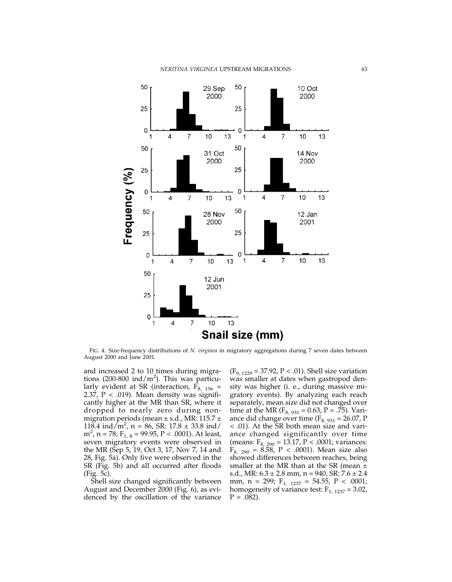

FIG. 4. Size-frequency distributions of *N. virginea* in migratory aggregations during 7 seven dates between August 2000 and June 2001.

and increased 2 to 10 times during migrations (200-800 ind/m<sup>2</sup>). This was particularly evident at SR (interaction,  $F_{8, 156}$  = 2.37,  $P < .019$ ). Mean density was significantly higher at the MR than SR, where it dropped to nearly zero during nonmigration periods (mean  $\pm$  s.d., MR: 115.7  $\pm$ 118.4 ind/m<sup>2</sup>, n = 86, SR: 17.8  $\pm$  33.8 ind/  $m^2$ , n = 78; F<sub>1, 8</sub> = 99.95, P < .0001). At least, seven migratory events were observed in the MR (Sep 5, 19, Oct 3, 17, Nov 7, 14 and 28, Fig. 5a). Only five were observed in the SR (Fig. 5b) and all occurred after floods (Fig. 5c).

Shell size changed significantly between August and December 2000 (Fig. 6), as evidenced by the oscillation of the variance

 $(F_{9, 1229} = 37.92, P < .01)$ . Shell size variation was smaller at dates when gastropod density was higher (i. e., during massive migratory events). By analyzing each reach separately, mean size did not changed over time at the MR ( $F_{8, 931} = 0.63$ ,  $P = .75$ ). Variance did change over time ( $F_{8, 931} = 26.07$ , P < .01). At the SR both mean size and variance changed significantly over time (means:  $F_{8, 290} = 13.17, P < .0001$ ; variances:  $F_{8, 290} = 8.58, P < .0001$ ). Mean size also showed differences between reaches, being smaller at the MR than at the SR (mean  $\pm$ s.d., MR:  $6.3 \pm 2.8$  mm,  $n = 940$ , SR:  $7.6 \pm 2.4$ mm,  $n = 299$ ;  $F_{1, 1237} = 54.55$ ,  $P < .0001$ ; homogeneity of variance test:  $F_{1, 1237} = 3.02$ ,  $P = .082$ ).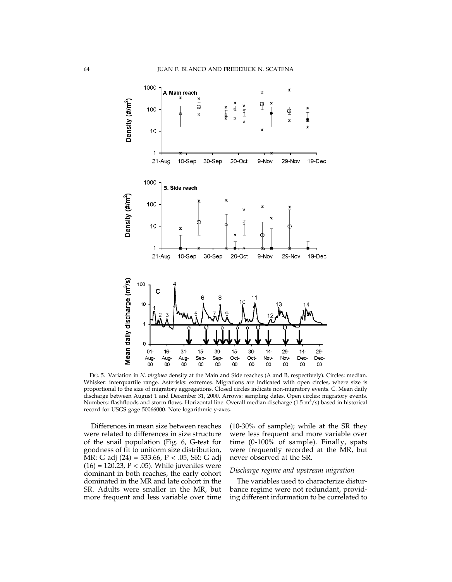

FIG. 5. Variation in *N. virginea* density at the Main and Side reaches (A and B, respectively). Circles: median. Whisker: interquartile range. Asterisks: extremes. Migrations are indicated with open circles, where size is proportional to the size of migratory aggregations. Closed circles indicate non-migratory events. C. Mean daily discharge between August 1 and December 31, 2000. Arrows: sampling dates. Open circles: migratory events. Numbers: flashfloods and storm flows. Horizontal line: Overall median discharge  $(1.5 \text{ m}^3/\text{s})$  based in historical record for USGS gage 50066000. Note logarithmic y-axes.

Differences in mean size between reaches were related to differences in size structure of the snail population (Fig. 6, G-test for goodness of fit to uniform size distribution, MR: G adj (24) = 333.66, P < .05, SR: G adj  $(16) = 120.23, P < .05$ ). While juveniles were dominant in both reaches, the early cohort dominated in the MR and late cohort in the SR. Adults were smaller in the MR, but more frequent and less variable over time

(10-30% of sample); while at the SR they were less frequent and more variable over time (0-100% of sample). Finally, spats were frequently recorded at the MR, but never observed at the SR.

## *Discharge regime and upstream migration*

The variables used to characterize disturbance regime were not redundant, providing different information to be correlated to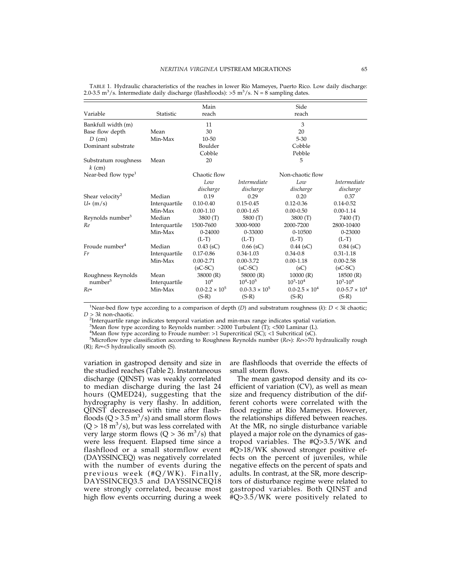|                                  |               | Main                    |                         | Side                    |                         |
|----------------------------------|---------------|-------------------------|-------------------------|-------------------------|-------------------------|
| Variable                         | Statistic     | reach                   |                         | reach                   |                         |
| Bankfull width (m)               |               | 11                      |                         | 3                       |                         |
| Base flow depth                  | Mean          | 30                      |                         | 20                      |                         |
| $D$ (cm)                         | Min-Max       | $10 - 50$               |                         | $5 - 30$                |                         |
| Dominant substrate               |               | Boulder                 |                         | Cobble                  |                         |
|                                  |               | Cobble                  |                         | Pebble                  |                         |
| Substratum roughness<br>$k$ (cm) | Mean          | 20                      |                         | 5                       |                         |
| Near-bed flow type <sup>1</sup>  |               | Chaotic flow            |                         | Non-chaotic flow        |                         |
|                                  |               | Low                     | <i>Intermediate</i>     | Low                     | <i>Intermediate</i>     |
|                                  |               | discharge               | discharge               | discharge               | discharge               |
| Shear velocity <sup>2</sup>      | Median        | 0.19                    | 0.29                    | 0.20                    | 0.37                    |
| $U^*(m/s)$                       | Interquartile | $0.10 - 0.40$           | $0.15 - 0.45$           | $0.12 - 0.36$           | $0.14 - 0.52$           |
|                                  | Min-Max       | $0.00 - 1.10$           | $0.00 - 1.65$           | $0.00 - 0.50$           | $0.00 - 1.14$           |
| Reynolds number <sup>3</sup>     | Median        | 3800 (T)                | 5800 (T)                | 3800 (T)                | 7400 (T)                |
| Re                               | Interquartile | 1500-7600               | 3000-9000               | 2000-7200               | 2800-10400              |
|                                  | Min-Max       | $0 - 24000$             | $0 - 33000$             | $0 - 10500$             | 0-23000                 |
|                                  |               | $(L-T)$                 | $(L-T)$                 | $(L-T)$                 | $(L-T)$                 |
| Froude number <sup>4</sup>       | Median        | $0.43$ (sC)             | $0.66$ (sC)             | $0.44$ (sC)             | $0.84$ (sC)             |
| Fr                               | Interquartile | $0.17 - 0.86$           | $0.34 - 1.03$           | $0.34 - 0.8$            | $0.31 - 1.18$           |
|                                  | Min-Max       | $0.00 - 2.71$           | $0.00 - 3.72$           | $0.00 - 1.18$           | $0.00 - 2.58$           |
|                                  |               | $(sC-SC)$               | $(sC-SC)$               | (sC)                    | $(sC-SC)$               |
| Roughness Reynolds               | Mean          | 38000 (R)               | 58000 (R)               | 10000(R)                | 18500(R)                |
| number <sup>5</sup>              | Interquartile | 10 <sup>4</sup>         | $10^{4} - 10^{5}$       | $10^3 - 10^4$           | $10^3 - 10^4$           |
| $Re*$                            | Min-Max       | $0.0 - 2.2 \times 10^5$ | $0.0 - 3.3 \times 10^5$ | $0.0 - 2.5 \times 10^4$ | $0.0 - 5.7 \times 10^4$ |
|                                  |               | $(S-R)$                 | $(S-R)$                 | $(S-R)$                 | $(S-R)$                 |

TABLE 1. Hydraulic characteristics of the reaches in lower Río Mameyes, Puerto Rico. Low daily discharge: 2.0-3.5 m<sup>3</sup>/s. Intermediate daily discharge (flashfloods):  $>$ 5 m<sup>3</sup>/s. N = 8 sampling dates.

1 Near-bed flow type according to a comparison of depth (*D*) and substratum roughness (*k*): *D* < 3*k* chaotic;  $D > 3k$  non-chaotic.

Interquartile range indicates temporal variation and min-max range indicates spatial variation.

 $3$ Mean flow type according to Reynolds number: >2000 Turbulent (T); <500 Laminar (L).

<sup>4</sup>Mean flow type according to Froude number: >1 Supercritical (SC); <1 Subcritical (sC).

Microflow type classification according to Roughness Reynolds number (*Re*\*): *Re*\*>70 hydraulically rough (R); *Re*\*<5 hydraulically smooth (S).

variation in gastropod density and size in the studied reaches (Table 2). Instantaneous discharge (QINST) was weakly correlated to median discharge during the last 24 hours (QMED24), suggesting that the hydrography is very flashy. In addition, QINST decreased with time after flashfloods ( $Q > 3.5$  m<sup>3</sup>/s) and small storm flows  $(Q > 18 \text{ m}^3/\text{s})$ , but was less correlated with very large storm flows  $(Q > 36 \text{ m}^3/\text{s})$  that were less frequent. Elapsed time since a flashflood or a small stormflow event (DAYSSINCEQ) was negatively correlated with the number of events during the previous week (#Q/WK). Finally, DAYSSINCEQ3.5 and DAYSSINCEQ18 were strongly correlated, because most high flow events occurring during a week

are flashfloods that override the effects of small storm flows.

The mean gastropod density and its coefficient of variation (CV), as well as mean size and frequency distribution of the different cohorts were correlated with the flood regime at Río Mameyes. However, the relationships differed between reaches. At the MR, no single disturbance variable played a major role on the dynamics of gastropod variables. The  $\#Q>3.5/WK$  and #Q>18/WK showed stronger positive effects on the percent of juveniles, while negative effects on the percent of spats and adults. In contrast, at the SR, more descriptors of disturbance regime were related to gastropod variables. Both QINST and #Q>3.5/WK were positively related to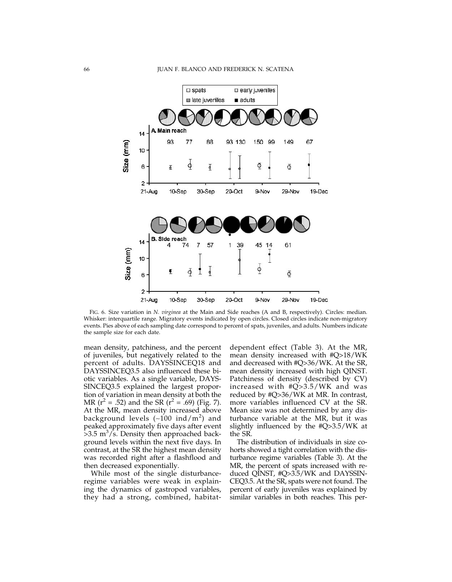

FIG. 6. Size variation in *N. virginea* at the Main and Side reaches (A and B, respectively). Circles: median. Whisker: interquartile range. Migratory events indicated by open circles. Closed circles indicate non-migratory events. Pies above of each sampling date correspond to percent of spats, juveniles, and adults. Numbers indicate the sample size for each date.

mean density, patchiness, and the percent of juveniles, but negatively related to the percent of adults. DAYSSINCEQ18 and DAYSSINCEQ3.5 also influenced these biotic variables. As a single variable, DAYS-SINCEQ3.5 explained the largest proportion of variation in mean density at both the MR ( $r^2 = .52$ ) and the SR ( $r^2 = .69$ ) (Fig. 7). At the MR, mean density increased above background levels (~100 ind/m<sup>2</sup>) and peaked approximately five days after event  $>3.5$  m<sup>3</sup>/s. Density then approached background levels within the next five days. In contrast, at the SR the highest mean density was recorded right after a flashflood and then decreased exponentially.

While most of the single disturbanceregime variables were weak in explaining the dynamics of gastropod variables, they had a strong, combined, habitatdependent effect (Table 3). At the MR, mean density increased with #Q>18/WK and decreased with #Q>36/WK. At the SR, mean density increased with high QINST. Patchiness of density (described by CV) increased with #Q>3.5/WK and was reduced by #Q>36/WK at MR. In contrast, more variables influenced CV at the SR. Mean size was not determined by any disturbance variable at the MR, but it was slightly influenced by the #Q>3.5/WK at the SR.

The distribution of individuals in size cohorts showed a tight correlation with the disturbance regime variables (Table 3). At the MR, the percent of spats increased with reduced QINST, #Q>3.5/WK and DAYSSIN-CEQ3.5. At the SR, spats were not found. The percent of early juveniles was explained by similar variables in both reaches. This per-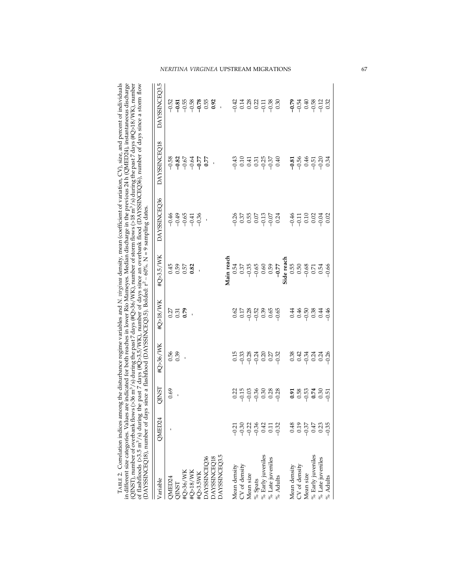|                                                                                                                                                                                                                                                                                                                                                                                                                                                                                                                                                                                                             | DAYSSINCEQ3.5 |        |              |                                                                             |          |          |                     | $\begin{array}{l} 0.526 \ 0.756 \ 0.757 \ 0.757 \ 0.757 \ 0.757 \ 0.757 \ 0.757 \ 0.757 \ 0.757 \ 0.757 \ 0.757 \ 0.757 \ 0.757 \ 0.757 \ 0.757 \ 0.757 \ 0.757 \ 0.757 \ 0.757 \ 0.757 \ 0.757 \ 0.757 \ 0.757 \ 0.757 \ 0.757 \ 0.757 \ 0.757 \ 0.757 \ 0.757 \ 0.$ |               |            | $277807788$<br>$-20007788$               |               |           |                                                                                                                                                                                                                                                                                                                                                                                                           |                   |                    |          |                                          |               |           | $\begin{array}{c} 288 \\ -0.000 \\ -0.000 \\ -0.000 \\ -0.000 \\ -0.000 \\ -0.000 \\ -0.000 \\ -0.000 \\ -0.000 \\ -0.000 \\ -0.000 \\ -0.000 \\ -0.000 \\ -0.000 \\ -0.000 \\ -0.000 \\ -0.000 \\ -0.000 \\ -0.000 \\ -0.000 \\ -0.000 \\ -0.000 \\ -0.000 \\ -0.000 \\ -0.000 \\ -0.000 \\ -0.000 \\ -0.000 \\ -0.000 \\ -0.00$ |                  |          |
|-------------------------------------------------------------------------------------------------------------------------------------------------------------------------------------------------------------------------------------------------------------------------------------------------------------------------------------------------------------------------------------------------------------------------------------------------------------------------------------------------------------------------------------------------------------------------------------------------------------|---------------|--------|--------------|-----------------------------------------------------------------------------|----------|----------|---------------------|-----------------------------------------------------------------------------------------------------------------------------------------------------------------------------------------------------------------------------------------------------------------------|---------------|------------|------------------------------------------|---------------|-----------|-----------------------------------------------------------------------------------------------------------------------------------------------------------------------------------------------------------------------------------------------------------------------------------------------------------------------------------------------------------------------------------------------------------|-------------------|--------------------|----------|------------------------------------------|---------------|-----------|-----------------------------------------------------------------------------------------------------------------------------------------------------------------------------------------------------------------------------------------------------------------------------------------------------------------------------------|------------------|----------|
| TABLE 2. Correlation indices among the disturbance regime variables and N. virginaa density, mean (coefficient of variation, CV), size, and percent of individuals<br>indicated for both reaches in lower Río Mameyes. Median discharge in the previous 24 h (QMED24), instantaneous discharge<br>(QINST), number of overbank flows (>36 m <sup>3</sup> /s) during the past 7 days (#Q>36/WK), number of storm flows (>18 m <sup>3</sup> /s) during the past 7 days (#Q>18/WK), number<br>past 7 days (#Q>3.5/WK), number of days since an overbank flood (DAYSSINCEQ36), number of days since a storm flow | DAYSSINCEO18  |        |              | $88867R$<br>$999999$                                                        |          |          |                     |                                                                                                                                                                                                                                                                       |               |            |                                          |               |           | $3277$<br>$3277$<br>$3277$<br>$327$<br>$327$<br>$327$<br>$327$                                                                                                                                                                                                                                                                                                                                            |                   |                    |          | $-0.56$<br>$-0.56$<br>$-0.50$<br>$-0.70$ |               |           |                                                                                                                                                                                                                                                                                                                                   |                  | 0.34     |
|                                                                                                                                                                                                                                                                                                                                                                                                                                                                                                                                                                                                             | DAYSSINCEO36  |        |              | $\begin{array}{c} 49.6 & 49.6 \\ -9.6 & 49.6 \\ -9.6 & 49.6 \\ \end{array}$ |          |          |                     |                                                                                                                                                                                                                                                                       |               |            | $355527$<br>$95527$<br>$95527$<br>$9557$ |               |           |                                                                                                                                                                                                                                                                                                                                                                                                           |                   |                    |          |                                          |               |           |                                                                                                                                                                                                                                                                                                                                   |                  |          |
|                                                                                                                                                                                                                                                                                                                                                                                                                                                                                                                                                                                                             | #Q>3.5/WK     |        |              | 45<br>0.57<br>0.82                                                          |          |          |                     |                                                                                                                                                                                                                                                                       |               | Main reach |                                          |               |           |                                                                                                                                                                                                                                                                                                                                                                                                           |                   |                    |          | 0.55                                     |               |           | 56<br>0.56<br>0.54<br>0.9<br>0.9                                                                                                                                                                                                                                                                                                  |                  |          |
|                                                                                                                                                                                                                                                                                                                                                                                                                                                                                                                                                                                                             | #Q>18/WK      |        |              | 5<br>ភូមិ<br><b>ភូមិ</b>                                                    | J,       |          |                     |                                                                                                                                                                                                                                                                       |               |            |                                          |               |           | $\begin{array}{l} {\mathcal Q} \stackrel{\sim}{\sim} {\mathcal Z} \stackrel{\sim}{\sim} {\mathcal Z} \stackrel{\sim}{\sim} {\mathcal Z} \stackrel{\sim}{\sim} {\mathcal Z} \stackrel{\sim}{\sim} {\mathcal Z} \stackrel{\sim}{\sim} {\mathcal Z} \stackrel{\sim}{\sim} {\mathcal Z} \stackrel{\sim}{\sim} {\mathcal Z} \stackrel{\sim}{\sim} {\mathcal Z} \stackrel{\sim}{\sim} {\mathcal Z} \end{array}$ |                   |                    |          | 0.44                                     | 0.46          |           | ००५<br>००५                                                                                                                                                                                                                                                                                                                        |                  |          |
|                                                                                                                                                                                                                                                                                                                                                                                                                                                                                                                                                                                                             | #Q>36/WK      |        | 0.56<br>0.39 |                                                                             |          |          |                     |                                                                                                                                                                                                                                                                       |               |            |                                          |               |           | 13 33 34 35 35<br>13 36 36 36 36<br>13 36 36 36 36                                                                                                                                                                                                                                                                                                                                                        |                   |                    |          | 88<br>0.42<br>0.54                       |               |           | ಸ್ತ್ರ ಸ್ವ<br>ಸ್ತ್ರ ಸ್ವ                                                                                                                                                                                                                                                                                                            |                  |          |
|                                                                                                                                                                                                                                                                                                                                                                                                                                                                                                                                                                                                             | <b>QINST</b>  | 0.69   |              |                                                                             |          |          |                     |                                                                                                                                                                                                                                                                       |               |            |                                          |               |           | $\begin{array}{cccc}\n2 & 4 & 5 & 6 & 6 & 8 \\ 3 & 5 & 6 & 6 & 8 & 8 \\ 4 & 6 & 6 & 6 & 8 & 8\n\end{array}$                                                                                                                                                                                                                                                                                               |                   |                    |          | 0.91                                     | 0.58          | $-0.53$   | 0.74                                                                                                                                                                                                                                                                                                                              | 0.30             | $-0.51$  |
|                                                                                                                                                                                                                                                                                                                                                                                                                                                                                                                                                                                                             | QMED24        |        |              |                                                                             |          |          |                     |                                                                                                                                                                                                                                                                       |               |            | $-0.21$                                  |               |           | $-0.36$<br>$-0.36$<br>$-0.42$<br>$-0.32$                                                                                                                                                                                                                                                                                                                                                                  |                   |                    |          | 0.48                                     | 0.19          | $-0.37$   | 0.47                                                                                                                                                                                                                                                                                                                              | 0.23             | $-0.35$  |
| DAYSSINCEQ18), number of days since a flashflood (DAYSSINCEQ3.5). Bolded: r <sup>2</sup> ~ 60%. N = 9 sampling dates<br>in different size categories. Values are<br>of flashfloods (> $3.5 \text{ m}^3\text{/s}$ ) during the                                                                                                                                                                                                                                                                                                                                                                               | Variable      | QMED24 | QINST        | #Q>36/WK                                                                    | #Q>18/WK | #Q>3.5WK | <b>DAYSSINCEO36</b> | <b>DAYSSINCEQ18</b>                                                                                                                                                                                                                                                   | DAYSSINCEQ3.5 |            | Mean density                             | CV of density | Mean size | $%$ Spats                                                                                                                                                                                                                                                                                                                                                                                                 | % Early juveniles | $%$ Late juveniles | % Adults | Mean density                             | CV of density | Mean size | % Early juveniles                                                                                                                                                                                                                                                                                                                 | % Late juveniles | % Adults |

| #Q<18\INIK #Q<3 \$\INIK DAXQINICEQSG_____DAXQINICEQSG______DAXQSD_____DAX_NICEQQS_\$                                                                                                                                                                                                                                                                                                                                                                                                                                                                                                                                                                                                                     |                                                                                     |  | HOS36/WK | <b>OINIST</b> | <b>DAVED24</b>               | niahle |
|----------------------------------------------------------------------------------------------------------------------------------------------------------------------------------------------------------------------------------------------------------------------------------------------------------------------------------------------------------------------------------------------------------------------------------------------------------------------------------------------------------------------------------------------------------------------------------------------------------------------------------------------------------------------------------------------------------|-------------------------------------------------------------------------------------|--|----------|---------------|------------------------------|--------|
| TABLE 2. Correlation indices among the disturbance regime variables and N. <i>virginea</i> density, mean (coefficient of variation, $CV$ ), size, and percent of individuals<br>lifferent size categories. Values are indicated for both reaches in lower Río Mameyes. Median discharge in the previous 24 h (QMED24), instantaneous discharge<br>NST), number of overbank flows (>36 m <sup>3</sup> /s) during the past 7 days (#Q>36/WK), number of storm flows (>18 m <sup>3</sup> /s) during the past 7 days (#Q>18/WK), number<br>flashfloods (>3.5 m <sup>3</sup> /s) during the past 7 days (#Q>3.5/WK), number of days since an overbank flood (DAYSSINCEQ36), number of days since a storm flow | since a flashflood (DAYSSINCEQ3.5). Bolded: $r^2 \sim 60\%$ . N = 9 sampling dates. |  |          |               | AYSSINCEQ18), number of days |        |
|                                                                                                                                                                                                                                                                                                                                                                                                                                                                                                                                                                                                                                                                                                          |                                                                                     |  |          |               |                              |        |
|                                                                                                                                                                                                                                                                                                                                                                                                                                                                                                                                                                                                                                                                                                          |                                                                                     |  |          |               |                              |        |

# *NERITINA VIRGINEA* UPSTREAM MIGRATIONS 67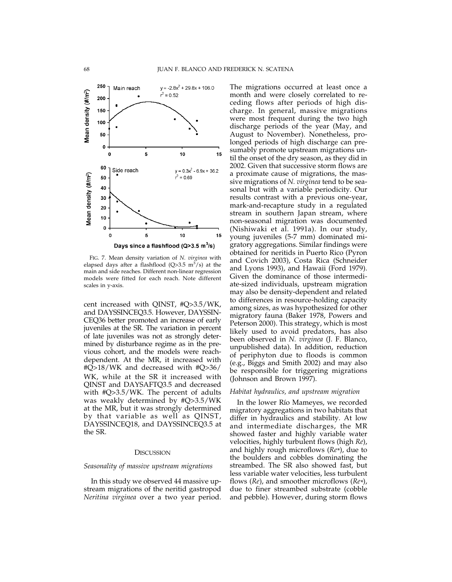

FIG. 7. Mean density variation of *N. virginea* with elapsed days after a flashflood (Q>3.5 m<sup>3</sup>/s) at the main and side reaches. Different non-linear regression models were fitted for each reach. Note different scales in y-axis.

cent increased with QINST, #Q>3.5/WK, and DAYSSINCEQ3.5. However, DAYSSIN-CEQ36 better promoted an increase of early juveniles at the SR. The variation in percent of late juveniles was not as strongly determined by disturbance regime as in the previous cohort, and the models were reachdependent. At the MR, it increased with #Q>18/WK and decreased with #Q>36/ WK, while at the SR it increased with QINST and DAYSAFTQ3.5 and decreased with #Q>3.5/WK. The percent of adults was weakly determined by #Q>3.5/WK at the MR, but it was strongly determined by that variable as well as QINST, DAYSSINCEQ18, and DAYSSINCEQ3.5 at the SR.

# **DISCUSSION**

# *Seasonality of massive upstream migrations*

In this study we observed 44 massive upstream migrations of the neritid gastropod *Neritina virginea* over a two year period.

The migrations occurred at least once a month and were closely correlated to receding flows after periods of high discharge. In general, massive migrations were most frequent during the two high discharge periods of the year (May, and August to November). Nonetheless, prolonged periods of high discharge can presumably promote upstream migrations until the onset of the dry season, as they did in 2002. Given that successive storm flows are a proximate cause of migrations, the massive migrations of *N. virginea* tend to be seasonal but with a variable periodicity. Our results contrast with a previous one-year, mark-and-recapture study in a regulated stream in southern Japan stream, where non-seasonal migration was documented (Nishiwaki et al. 1991a). In our study, young juveniles (5-7 mm) dominated migratory aggregations. Similar findings were obtained for neritids in Puerto Rico (Pyron and Covich 2003), Costa Rica (Schneider and Lyons 1993), and Hawaii (Ford 1979). Given the dominance of those intermediate-sized individuals, upstream migration may also be density-dependent and related to differences in resource-holding capacity among sizes, as was hypothesized for other migratory fauna (Baker 1978, Powers and Peterson 2000). This strategy, which is most likely used to avoid predators, has also been observed in *N. virginea* (J. F. Blanco, unpublished data). In addition, reduction of periphyton due to floods is common (e.g., Biggs and Smith 2002) and may also be responsible for triggering migrations (Johnson and Brown 1997).

## *Habitat hydraulics, and upstream migration*

In the lower Río Mameyes, we recorded migratory aggregations in two habitats that differ in hydraulics and stability. At low and intermediate discharges, the MR showed faster and highly variable water velocities, highly turbulent flows (high *Re*), and highly rough microflows (*Re\**), due to the boulders and cobbles dominating the streambed. The SR also showed fast, but less variable water velocities, less turbulent flows (*Re*), and smoother microflows (*Re\**), due to finer streambed substrate (cobble and pebble). However, during storm flows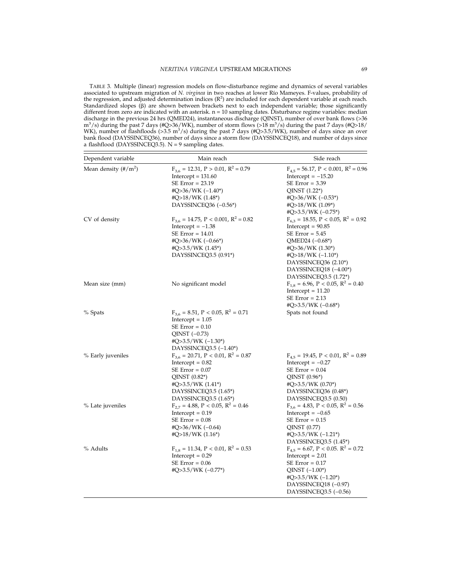TABLE 3. Multiple (linear) regression models on flow-disturbance regime and dynamics of several variables associated to upstream migration of *N. virginea* in two reaches at lower Río Mameyes. F-values, probability of the regression, and adjusted determination indices  $(R^2)$  are included for each dependent variable at each reach. Standardized slopes  $(\beta)$  are shown between brackets next to each independent variable; those significantly different from zero are indicated with an asterisk.  $n = 10$  sampling dates. Disturbance regime variables: median discharge in the previous 24 hrs (QMED24), instantaneous discharge (QINST), number of over bank flows (>36 m<sup>3</sup> /s) during the past 7 days (#Q>36/WK), number of storm flows (>18 m3 /s) during the past 7 days (#Q>18/ WK), number of flashfloods (>3.5 m<sup>3</sup>/s) during the past 7 days (#Q>3.5/WK), number of days since an over bank flood (DAYSSINCEQ36), number of days since a storm flow (DAYSSINCEQ18), and number of days since a flashflood (DAYSSINCEQ3.5).  $N = 9$  sampling dates.

| Dependent variable                           | Main reach                                                                                                                                                                                     | Side reach                                                                                                                                                                                                                                                              |
|----------------------------------------------|------------------------------------------------------------------------------------------------------------------------------------------------------------------------------------------------|-------------------------------------------------------------------------------------------------------------------------------------------------------------------------------------------------------------------------------------------------------------------------|
| Mean density $(\frac{\text{#}}{\text{m}^2})$ | $F_{3.6} = 12.31, P > 0.01, R^2 = 0.79$<br>$Intercept = 131.60$<br>$SE Error = 23.19$<br>#Q>36/WK $(-1.40^*)$<br>#Q>18/WK $(1.48^*)$<br>DAYSSINCEQ36 (-0.56*)                                  | $F_{4.5} = 56.17$ , P < 0.001, R <sup>2</sup> = 0.96<br>Intercept $= -15.20$<br>$SE Error = 3.39$<br>$QINST (1.22*)$<br>#Q>36/WK $(-0.53^*)$<br>#Q>18/WK $(1.09^*)$                                                                                                     |
| CV of density                                | $F_{3.6} = 14.75$ , P < 0.001, R <sup>2</sup> = 0.82<br>Intercept $= -1.38$<br>$SE Error = 14.01$<br>#Q>36/WK $(-0.66^*)$<br>#Q>3.5/WK $(1.45^*)$<br>DAYSSINCEQ3.5 (0.91*)                     | #Q>3.5/WK $(-0.75^*)$<br>$F_{6,3} = 18.55$ , P < 0.05, R <sup>2</sup> = 0.92<br>Intercept = $90.85$<br>$SE Error = 5.45$<br>QMED24 $(-0.68^*)$<br>#Q>36/WK $(1.30^*)$<br>#Q>18/WK $(-1.10^*)$<br>DAYSSINCEQ36 (2.10*)<br>DAYSSINCEQ18 (-4.00*)<br>DAYSSINCEQ3.5 (1.72*) |
| Mean size (mm)                               | No significant model                                                                                                                                                                           | $F_{1,8} = 6.96, P < 0.05, R^2 = 0.40$<br>Intercept $= 11.20$<br>$SE Error = 2.13$<br>#Q>3.5/WK $(-0.68^*)$                                                                                                                                                             |
| % Spats                                      | $F_{3,6} = 8.51, P < 0.05, R^2 = 0.71$<br>Intercept $= 1.05$<br>$SE Error = 0.10$<br>QINST $(-0.73)$<br>#Q>3.5/WK $(-1.30^*)$<br>DAYSSINCEQ3.5 $(-1.40^*)$                                     | Spats not found                                                                                                                                                                                                                                                         |
| % Early juveniles                            | $F_{3,6} = 20.71$ , P < 0.01, R <sup>2</sup> = 0.87<br>Intercept $= 0.82$<br>$SE Error = 0.07$<br>$QINST (0.82*)$<br>#Q>3.5/WK $(1.41^*)$<br>DAYSSINCEQ3.5 $(1.65^*)$<br>DAYSSINCEQ3.5 (1.65*) | $F_{4,5} = 19.45, P < 0.01, R^2 = 0.89$<br>Intercept $= -0.27$<br>$SE Error = 0.04$<br>$QINST (0.96*)$<br>#Q>3.5/WK $(0.70^*)$<br>DAYSSINCEQ36 (0.48*)<br>DAYSSINCEQ3.5 (0.50)                                                                                          |
| % Late juveniles                             | $F_{2,7} = 4.88$ , P < 0.05, R <sup>2</sup> = 0.46<br>Intercept $= 0.19$<br>$SE Error = 0.08$<br>#Q>36/WK $(-0.64)$<br>$\text{HQ} > 18/WK$ (1.16*)                                             | $F_{3,6} = 4.83$ , P < 0.05, R <sup>2</sup> = 0.56<br>Intercept = $-0.65$<br>$SE Error = 0.15$<br>QINST (0.77)<br>#Q>3.5/WK $(-1.21^*)$<br>DAYSSINCEQ3.5 (1.45*)                                                                                                        |
| % Adults                                     | $\mathrm{F_{1,8}}=11.34,\, \mathrm{P} < 0.01,\, \mathrm{R^2}=0.53$<br>$Intercept = 0.29$<br>$SE Error = 0.06$<br>#Q>3.5/WK $(-0.77^*)$                                                         | $F_{4,5} = 6.67$ , P < 0.05. $R^2 = 0.72$<br>$Intercept = 2.01$<br>$SE Error = 0.17$<br>$QINST$ $(-1.00*)$<br>#Q>3.5/WK $(-1.20^*)$<br>DAYSSINCEQ18 (-0.97)<br>DAYSSINCEQ3.5 (-0.56)                                                                                    |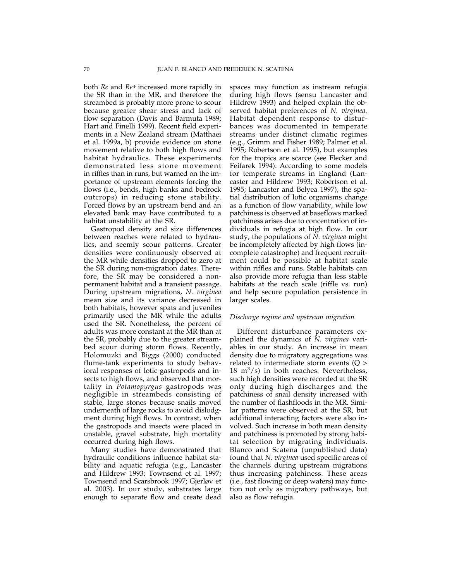both *Re* and *Re\** increased more rapidly in the SR than in the MR, and therefore the streambed is probably more prone to scour because greater shear stress and lack of flow separation (Davis and Barmuta 1989; Hart and Finelli 1999). Recent field experiments in a New Zealand stream (Matthaei et al. 1999a, b) provide evidence on stone movement relative to both high flows and habitat hydraulics. These experiments demonstrated less stone movement in riffles than in runs, but warned on the importance of upstream elements forcing the flows (i.e., bends, high banks and bedrock outcrops) in reducing stone stability. Forced flows by an upstream bend and an elevated bank may have contributed to a habitat unstability at the SR.

Gastropod density and size differences between reaches were related to hydraulics, and seemly scour patterns. Greater densities were continuously observed at the MR while densities dropped to zero at the SR during non-migration dates. Therefore, the SR may be considered a nonpermanent habitat and a transient passage. During upstream migrations, *N. virginea* mean size and its variance decreased in both habitats, however spats and juveniles primarily used the MR while the adults used the SR. Nonetheless, the percent of adults was more constant at the MR than at the SR, probably due to the greater streambed scour during storm flows. Recently, Holomuzki and Biggs (2000) conducted flume-tank experiments to study behavioral responses of lotic gastropods and insects to high flows, and observed that mortality in *Potamopyrgus* gastropods was negligible in streambeds consisting of stable, large stones because snails moved underneath of large rocks to avoid dislodgment during high flows. In contrast, when the gastropods and insects were placed in unstable, gravel substrate, high mortality occurred during high flows.

Many studies have demonstrated that hydraulic conditions influence habitat stability and aquatic refugia (e.g., Lancaster and Hildrew 1993; Townsend et al. 1997; Townsend and Scarsbrook 1997; Gjerløv et al. 2003). In our study, substrates large enough to separate flow and create dead

spaces may function as instream refugia during high flows (sensu Lancaster and Hildrew 1993) and helped explain the observed habitat preferences of *N. virginea.* Habitat dependent response to disturbances was documented in temperate streams under distinct climatic regimes (e.g., Grimm and Fisher 1989; Palmer et al. 1995; Robertson et al. 1995), but examples for the tropics are scarce (see Flecker and Feifarek 1994). According to some models for temperate streams in England (Lancaster and Hildrew 1993; Robertson et al. 1995; Lancaster and Belyea 1997), the spatial distribution of lotic organisms change as a function of flow variability, while low patchiness is observed at baseflows marked patchiness arises due to concentration of individuals in refugia at high flow. In our study, the populations of *N. virginea* might be incompletely affected by high flows (incomplete catastrophe) and frequent recruitment could be possible at habitat scale within riffles and runs. Stable habitats can also provide more refugia than less stable habitats at the reach scale (riffle vs. run) and help secure population persistence in larger scales.

### *Discharge regime and upstream migration*

Different disturbance parameters explained the dynamics of *N. virginea* variables in our study. An increase in mean density due to migratory aggregations was related to intermediate storm events (Q >  $18 \text{ m}^3/\text{s}$ ) in both reaches. Nevertheless, such high densities were recorded at the SR only during high discharges and the patchiness of snail density increased with the number of flashfloods in the MR. Similar patterns were observed at the SR, but additional interacting factors were also involved. Such increase in both mean density and patchiness is promoted by strong habitat selection by migrating individuals. Blanco and Scatena (unpublished data) found that *N. virginea* used specific areas of the channels during upstream migrations thus increasing patchiness. These areas (i.e*.,* fast flowing or deep waters) may function not only as migratory pathways, but also as flow refugia.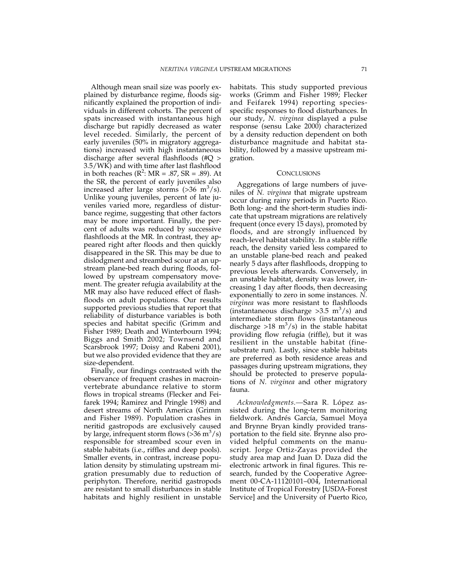Although mean snail size was poorly explained by disturbance regime, floods significantly explained the proportion of individuals in different cohorts. The percent of spats increased with instantaneous high discharge but rapidly decreased as water level receded. Similarly, the percent of early juveniles (50% in migratory aggregations) increased with high instantaneous discharge after several flashfloods (#Q > 3.5/WK) and with time after last flashflood in both reaches  $(R^2: MR = .87, SR = .89)$ . At the SR, the percent of early juveniles also increased after large storms  $($ >36 m<sup>3</sup>/s). Unlike young juveniles, percent of late juveniles varied more, regardless of disturbance regime, suggesting that other factors may be more important. Finally, the percent of adults was reduced by successive flashfloods at the MR. In contrast, they appeared right after floods and then quickly disappeared in the SR. This may be due to dislodgment and streambed scour at an upstream plane-bed reach during floods, followed by upstream compensatory movement. The greater refugia availability at the MR may also have reduced effect of flashfloods on adult populations. Our results supported previous studies that report that reliability of disturbance variables is both species and habitat specific (Grimm and Fisher 1989; Death and Winterbourn 1994; Biggs and Smith 2002; Townsend and Scarsbrook 1997; Doisy and Rabeni 2001), but we also provided evidence that they are size-dependent.

Finally, our findings contrasted with the observance of frequent crashes in macroinvertebrate abundance relative to storm flows in tropical streams (Flecker and Feifarek 1994; Ramirez and Pringle 1998) and desert streams of North America (Grimm and Fisher 1989). Population crashes in neritid gastropods are exclusively caused by large, infrequent storm flows (>36 m<sup>3</sup>/s) responsible for streambed scour even in stable habitats (i.e., riffles and deep pools). Smaller events, in contrast, increase population density by stimulating upstream migration presumably due to reduction of periphyton. Therefore, neritid gastropods are resistant to small disturbances in stable habitats and highly resilient in unstable

habitats. This study supported previous works (Grimm and Fisher 1989; Flecker and Feifarek 1994) reporting speciesspecific responses to flood disturbances. In our study, *N. virginea* displayed a pulse response (sensu Lake 2000) characterized by a density reduction dependent on both disturbance magnitude and habitat stability, followed by a massive upstream migration.

## **CONCLUSIONS**

Aggregations of large numbers of juveniles of *N. virginea* that migrate upstream occur during rainy periods in Puerto Rico. Both long- and the short-term studies indicate that upstream migrations are relatively frequent (once every 15 days), promoted by floods, and are strongly influenced by reach-level habitat stability. In a stable riffle reach, the density varied less compared to an unstable plane-bed reach and peaked nearly 5 days after flashfloods, dropping to previous levels afterwards. Conversely, in an unstable habitat, density was lower, increasing 1 day after floods, then decreasing exponentially to zero in some instances. *N. virginea* was more resistant to flashfloods (instantaneous discharge  $>3.5 \text{ m}^3/\text{s}$ ) and intermediate storm flows (instantaneous discharge >18  $m^3/s$ ) in the stable habitat providing flow refugia (riffle), but it was resilient in the unstable habitat (finesubstrate run). Lastly, since stable habitats are preferred as both residence areas and passages during upstream migrations, they should be protected to preserve populations of *N. virginea* and other migratory fauna.

*Acknowledgments.—*Sara R. López assisted during the long-term monitoring fieldwork. Andrés García, Samuel Moya and Brynne Bryan kindly provided transportation to the field site. Brynne also provided helpful comments on the manuscript. Jorge Ortiz-Zayas provided the study area map and Juan D. Daza did the electronic artwork in final figures. This research, funded by the Cooperative Agreement 00-CA-11120101–004, International Institute of Tropical Forestry [USDA-Forest Service] and the University of Puerto Rico,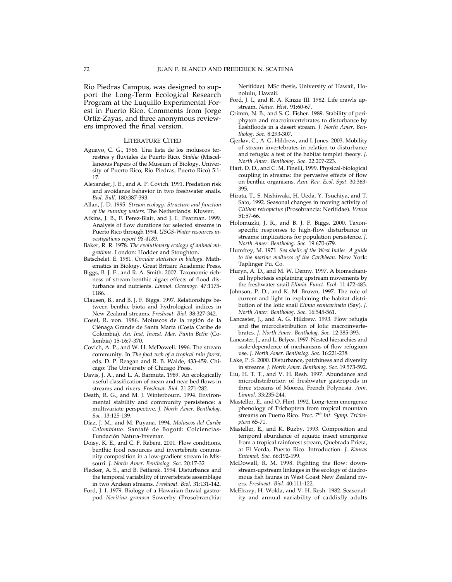Rio Piedras Campus, was designed to support the Long-Term Ecological Research Program at the Luquillo Experimental Forest in Puerto Rico. Comments from Jorge Ortíz-Zayas, and three anonymous reviewers improved the final version.

#### LITERATURE CITED

- Aguayo, C. G., 1966. Una lista de los moluscos terrestres y fluviales de Puerto Rico. *Stahlia* (Miscellaneous Papers of the Museum of Biology, University of Puerto Rico, Rio Piedras, Puerto Rico) 5:1- 17.
- Alexander, J. E., and A. P. Covich. 1991. Predation risk and avoidance behavior in two freshwater snails. *Biol. Bull.* 180:387-393.
- Allan, J. D. 1995. *Stream ecology. Structure and function of the running waters*. The Netherlands: Kluwer.
- Atkins, J. B., F. Perez-Blair, and J. L. Pearman. 1999. Analysis of flow durations for selected streams in Puerto Rico through 1994. *USGS-Water resources investigations report 98-4189*.
- Baker, R. R. 1978. *The evolutionary ecology of animal migrations*. London: Hodder and Stoughton.
- Batschelet. E. 1981. *Circular statistics in biology*. Mathematics in Biology. Great Britain: Academic Press.
- Biggs, B. J. F., and R. A. Smith. 2002. Taxonomic richness of stream benthic algae: effects of flood disturbance and nutrients. *Limnol. Oceanogr*. 47:1175- 1186.
- Clausen, B., and B. J. F. Biggs. 1997. Relationships between benthic biota and hydrological indices in New Zealand streams. *Freshwat. Biol*. 38:327-342.
- Cosel, R. von. 1986. Moluscos de la región de la Ciénaga Grande de Santa Marta (Costa Caribe de Colombia). *An. Inst. Invest. Mar. Punta Betin* (Colombia) 15-16:7-370.
- Covich, A. P., and W. H. McDowell. 1996. The stream community. In *The food web of a tropical rain forest,* eds. D. P. Reagan and R. B. Waide, 433-459. Chicago: The University of Chicago Press.
- Davis, J. A., and L. A. Barmuta. 1989. An ecologically useful classification of mean and near bed flows in streams and rivers. *Freshwat. Biol*. 21:271-282.
- Death, R. G., and M. J. Winterbourn. 1994. Environmental stability and community persistence: a multivariate perspective. *J. North Amer. Bentholog. Soc*. 13:125-139.
- Díaz, J. M., and M. Puyana. 1994. *Moluscos del Caribe Colombiano*. Santafé de Bogotá: Colciencias-Fundación Natura-Invemar.
- Doisy, K. E., and C. F. Rabeni. 2001. Flow conditions, benthic food resources and invertebrate community composition in a low-gradient stream in Missouri. *J. North Amer. Bentholog. Soc*. 20:17-32
- Flecker, A. S., and B. Feifarek. 1994. Disturbance and the temporal variability of invertebrate assemblage in two Andean streams. *Freshwat. Biol*. 31:131-142.
- Ford, J. I. 1979. Biology of a Hawaiian fluvial gastropod *Neritina granosa* Sowerby (Prosobranchia:

Neritidae). MSc thesis, University of Hawaii, Honolulu, Hawaii.

- Ford, J. I., and R. A. Kinzie III. 1982. Life crawls upstream. *Natur. Hist*. 91:60-67.
- Grimm, N. B., and S. G. Fisher. 1989. Stability of periphyton and macroinvertebrates to disturbance by flashfloods in a desert stream. *J. North Amer. Bentholog. Soc*. 8:293-307.
- Gjerløv, C., A. G. Hildrew, and I. Jones. 2003. Mobility of stream invertebrates in relation to disturbance and refugia: a test of the habitat templet theory. *J. North Amer. Bentholog. Soc*. 22:207-223.
- Hart, D. D., and C. M. Finelli, 1999. Physical-biological coupling in streams: the pervasive effects of flow on benthic organisms. *Ann. Rev. Ecol. Syst*. 30:363- 395.
- Hirata, T., S. Nishiwaki, H. Ueda, Y. Tsuchiya, and T. Sato, 1992. Seasonal changes in moving activity of *Clithon retropictus* (Prosobrancia: Neritidae). *Venus* 51:57-66.
- Holomuzki, J. R., and B. J. F. Biggs. 2000. Taxonspecific responses to high-flow disturbance in streams: implications for population persistence*. J. North Amer. Bentholog. Soc.* 19:670-679.
- Humfrey, M. 1971. *Sea shells of the West Indies. A guide to the marine molluscs of the Caribbean*. New York: Taplinger Pu. Co.
- Huryn, A. D., and M. W. Denny. 1997. A biomechanical hyphotesis explaining upstream movements by the freshwater snail *Elimia*. *Funct. Ecol*. 11:472-483.
- Johnson, P. D., and K. M. Brown, 1997. The role of current and light in explaining the habitat distribution of the lotic snail *Elimia semicarinata* (Say). *J. North Amer. Bentholog. Soc.* 16:545-561.
- Lancaster, J., and A. G. Hildrew. 1993. Flow refugia and the microdistribution of lotic macroinvertebrates. *J. North Amer. Bentholog. Soc*. 12:385-393.
- Lancaster, J., and L. Belyea. 1997. Nested hierarchies and scale-dependence of mechanisms of flow refugium use. *J. North Amer. Bentholog. Soc*. 16:221-238.
- Lake, P. S. 2000. Disturbance, patchiness and diversity in streams. *J. North Amer. Bentholog. Soc.* 19:573-592.
- Liu, H. T. T., and V. H. Resh. 1997. Abundance and microdistribution of freshwater gastropods in three streams of Moorea, French Polynesia. *Ann. Limnol*. 33:235-244.
- Masteller, E., and O. Flint. 1992. Long-term emergence phenology of Trichoptera from tropical mountain streams on Puerto Rico. *Proc. 7th Int. Symp. Trichoptera* 65-71.
- Masteller, E., and K. Buzby. 1993. Composition and temporal abundance of aquatic insect emergence from a tropical rainforest stream, Quebrada Prieta, at El Verda, Puerto Rico. Introduction. *J. Kansas Entomol. Soc*. 66:192-199.
- McDowall, R. M. 1998. Fighting the flow: downstream-upstream linkages in the ecology of diadromous fish faunas in West Coast New Zealand rivers. *Freshwat. Biol*. 40:111-122.
- McElravy, H. Wolda, and V. H. Resh. 1982. Seasonality and annual variability of caddisfly adults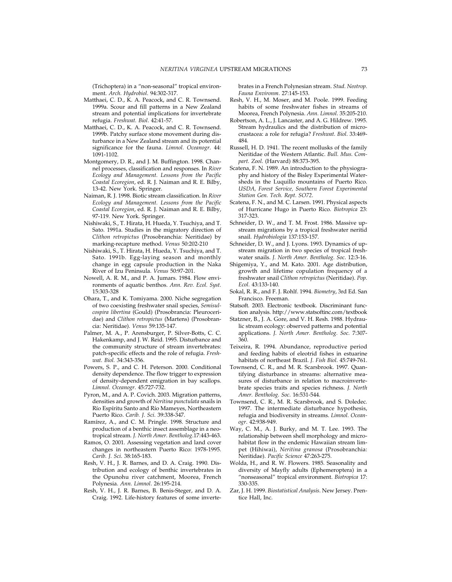(Trichoptera) in a "non-seasonal" tropical environment. *Arch. Hydrobiol*. 94:302-317.

- Matthaei, C. D., K. A. Peacock, and C. R. Townsend. 1999a. Scour and fill patterns in a New Zealand stream and potential implications for invertebrate refugia. *Freshwat. Biol*. 42:41-57.
- Matthaei, C. D., K. A. Peacock, and C. R. Townsend. 1999b. Patchy surface stone movement during disturbance in a New Zealand stream and its potential significance for the fauna. *Limnol. Oceanogr*. 44: 1091-1102.
- Montgomery, D. R., and J. M. Buffington. 1998. Channel processes, classification and responses. In *River Ecology and Management. Lessons from the Pacific Coastal Ecoregion*, ed. R. J. Naiman and R. E. Bilby, 13-42. New York. Springer.
- Naiman, R. J. 1998. Biotic stream classification. In *River Ecology and Management. Lessons from the Pacific Coastal Ecoregion*, ed. R. J. Naiman and R. E. Bilby, 97-119. New York. Springer.
- Nishiwaki, S., T. Hirata, H. Hueda, Y. Tsuchiya, and T. Sato. 1991a. Studies in the migratory direction of *Clithon retropictus* (Prosobranchia: Neritidae) by marking-recapture method. *Venus* 50:202-210
- Nishiwaki, S., T. Hirata, H. Hueda, Y. Tsuchiya, and T. Sato. 1991b. Egg-laying season and monthly change in egg capsule production in the Naka River of Izu Peninsula. *Venus* 50:97-201.
- Nowell, A. R. M., and P. A. Jumars. 1984. Flow environments of aquatic benthos. *Ann. Rev. Ecol. Syst.* 15:303-328
- Ohara, T., and K. Tomiyama. 2000. Niche segregation of two coexisting freshwater snail species, *Semisulcospira libertina* (Gould) (Prosobrancia: Pleuroceridae) and *Clithon retropictus* (Martens) (Prosobrancia: Neritidae). *Venus* 59:135-147.
- Palmer, M. A., P. Arensburger, P. Silver-Botts, C. C. Hakenkamp, and J. W. Reid. 1995. Disturbance and the community structure of stream invertebrates: patch-specific effects and the role of refugia. *Freshwat. Biol.* 34:343-356.
- Powers, S. P., and C. H. Peterson. 2000. Conditional density dependence. The flow trigger to expression of density-dependent emigration in bay scallops. *Limnol. Oceanogr*. 45:727-732.
- Pyron, M., and A. P. Covich. 2003. Migration patterns, densities and growth of *Neritina punctulata* snails in Río Espíritu Santo and Río Mameyes, Northeastern Puerto Rico. *Carib. J. Sci*. 39:338-347.
- Ramírez, A., and C. M. Pringle. 1998. Structure and production of a benthic insect assemblage in a neotropical stream*. J. North Amer. Bentholog*.17:443-463.
- Ramos, O. 2001. Assessing vegetation and land cover changes in northeastern Puerto Rico: 1978-1995. *Carib. J. Sci*. 38:165-183.
- Resh, V. H., J. R. Barnes, and D. A. Craig. 1990. Distribution and ecology of benthic invertebrates in the Opunohu river catchment, Moorea, French Polynesia. *Ann. Limnol*. 26:195-214.
- Resh, V. H., J. R. Barnes, B. Benis-Steger, and D. A. Craig. 1992. Life-history features of some inverte-

brates in a French Polynesian stream. *Stud. Neotrop. Fauna Environm*. 27:145-153.

- Resh, V. H., M. Moser, and M. Poole. 1999. Feeding habits of some freshwater fishes in streams of Moorea, French Polynesia. *Ann. Limnol*. 35:205-210.
- Robertson, A. L., J. Lancaster, and A. G. Hildrew. 1995. Stream hydraulics and the distribution of microcrustacea: a role for refugia? *Freshwat. Biol*. 33:469- 484.
- Russell, H. D. 1941. The recent mollusks of the family Neritidae of the Western Atlantic. *Bull. Mus. Compart. Zool.* (Harvard) 88:373-395.
- Scatena, F. N. 1989. An introduction to the physiography and history of the Bisley Experimental Watersheds in the Luquillo mountains of Puerto Rico. *USDA, Forest Service, Southern Forest Experimental Station Gen. Tech. Rept. SO72*.
- Scatena, F. N., and M. C. Larsen. 1991. Physical aspects of Hurricane Hugo in Puerto Rico. *Biotropica* 23: 317-323.
- Schneider, D. W., and T. M. Frost. 1986. Massive upstream migrations by a tropical freshwater neritid snail. *Hydrobiologia* 137:153-157.
- Schneider, D. W., and J. Lyons. 1993. Dynamics of upstream migration in two species of tropical freshwater snails. *J. North Amer. Bentholog. Soc*. 12:3-16.
- Shigemiya, Y., and M. Kato. 2001. Age distribution, growth and lifetime copulation frequency of a freshwater snail *Clithon retropictus* (Neritidae). *Pop. Ecol.* 43:133-140.
- Sokal, R. R., and F. J. Rohlf. 1994. *Biometry*, 3rd Ed. San Francisco. Freeman.
- Statsoft. 2003. Electronic textbook. Discriminant function analysis. http://www.statsoftinc.com/textbook
- Statzner, B., J. A. Gore, and V. H. Resh. 1988. Hydraulic stream ecology: observed patterns and potential applications. *J. North Amer. Bentholog. Soc.* 7:307- 360.
- Teixeira, R. 1994. Abundance, reproductive period and feeding habits of eleotrid fishes in estuarine habitats of northeast Brazil. *J. Fish Biol*. 45:749-761.
- Townsend, C. R., and M. R. Scarsbrook. 1997. Quantifying disturbance in streams: alternative measures of disturbance in relation to macroinvertebrate species traits and species richness. *J. North Amer. Bentholog. Soc*. 16:531-544.
- Townsend, C. R., M. R. Scarsbrook, and S. Doledec. 1997. The intermediate disturbance hypothesis, refugia and biodiversity in streams. *Limnol. Oceanogr*. 42:938-949.
- Way, C. M., A. J. Burky, and M. T. Lee. 1993. The relationship between shell morphology and microhabitat flow in the endemic Hawaiian stream limpet (Hihiwai), *Neritina granosa* (Prosobranchia: Neritidae). *Pacific Science* 47:263-275.
- Wolda, H., and R. W. Flowers. 1985. Seasonality and diversity of Mayfly adults (Ephemeroptera) in a "nonseasonal" tropical environment. *Biotropica* 17: 330-335.
- Zar, J. H. 1999. *Biostatistical Analysis*. New Jersey. Prentice Hall, Inc.